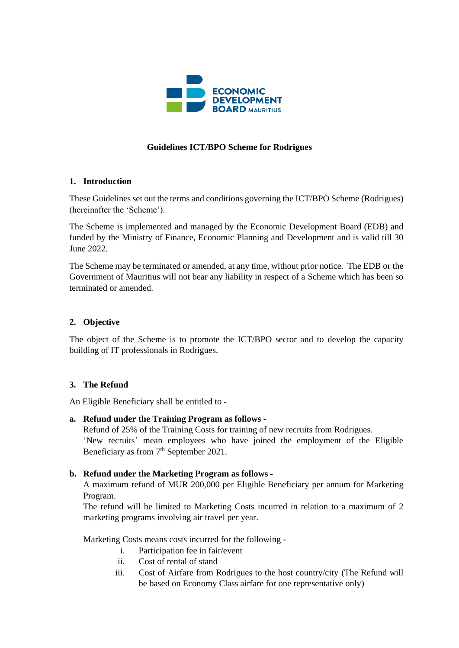

# **Guidelines ICT/BPO Scheme for Rodrigues**

# **1. Introduction**

These Guidelines set out the terms and conditions governing the ICT/BPO Scheme (Rodrigues) (hereinafter the 'Scheme').

The Scheme is implemented and managed by the Economic Development Board (EDB) and funded by the Ministry of Finance, Economic Planning and Development and is valid till 30 June 2022.

The Scheme may be terminated or amended, at any time, without prior notice. The EDB or the Government of Mauritius will not bear any liability in respect of a Scheme which has been so terminated or amended.

# **2. Objective**

The object of the Scheme is to promote the ICT/BPO sector and to develop the capacity building of IT professionals in Rodrigues.

# **3. The Refund**

An Eligible Beneficiary shall be entitled to -

**a. Refund under the Training Program as follows -**

Refund of 25% of the Training Costs for training of new recruits from Rodrigues. 'New recruits' mean employees who have joined the employment of the Eligible Beneficiary as from  $7<sup>th</sup>$  September 2021.

# **b. Refund under the Marketing Program as follows -**

A maximum refund of MUR 200,000 per Eligible Beneficiary per annum for Marketing Program.

The refund will be limited to Marketing Costs incurred in relation to a maximum of 2 marketing programs involving air travel per year.

Marketing Costs means costs incurred for the following -

- i. Participation fee in fair/event
- ii. Cost of rental of stand
- iii. Cost of Airfare from Rodrigues to the host country/city (The Refund will be based on Economy Class airfare for one representative only)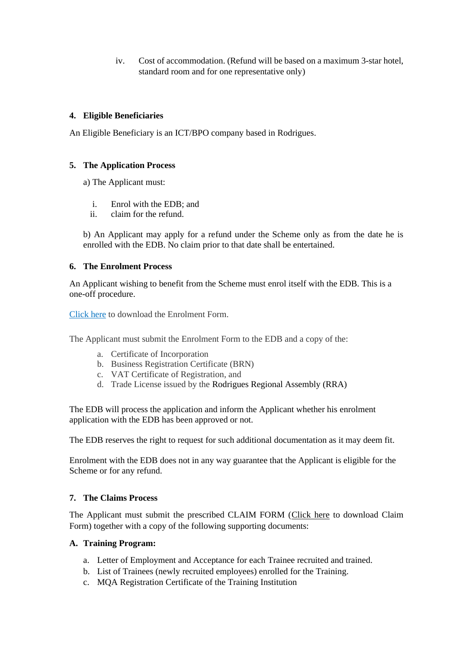iv. Cost of accommodation. (Refund will be based on a maximum 3-star hotel, standard room and for one representative only)

# **4. Eligible Beneficiaries**

An Eligible Beneficiary is an ICT/BPO company based in Rodrigues.

#### **5. The Application Process**

a) The Applicant must:

- i. Enrol with the EDB; and
- ii. claim for the refund.

b) An Applicant may apply for a refund under the Scheme only as from the date he is enrolled with the EDB. No claim prior to that date shall be entertained.

#### **6. The Enrolment Process**

An Applicant wishing to benefit from the Scheme must enrol itself with the EDB. This is a one-off procedure.

Click here to download the Enrolment Form.

The Applicant must submit the Enrolment Form to the EDB and a copy of the:

- a. Certificate of Incorporation
- b. Business Registration Certificate (BRN)
- c. VAT Certificate of Registration, and
- d. Trade License issued by the Rodrigues Regional Assembly (RRA)

The EDB will process the application and inform the Applicant whether his enrolment application with the EDB has been approved or not.

The EDB reserves the right to request for such additional documentation as it may deem fit.

Enrolment with the EDB does not in any way guarantee that the Applicant is eligible for the Scheme or for any refund.

# **7. The Claims Process**

The Applicant must submit the prescribed CLAIM FORM (Click here to download Claim Form) together with a copy of the following supporting documents:

# **A. Training Program:**

- a. Letter of Employment and Acceptance for each Trainee recruited and trained.
- b. List of Trainees (newly recruited employees) enrolled for the Training.
- c. MQA Registration Certificate of the Training Institution